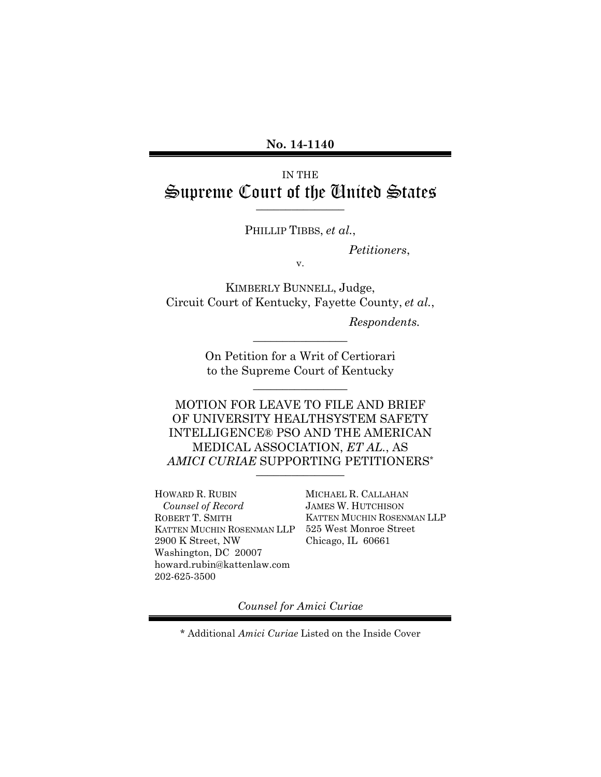## IN THE Supreme Court of the United States

¯¯¯¯¯¯¯¯¯¯¯¯¯¯¯ PHILLIP TIBBS, *et al.*,

*Petitioners*,

v.

KIMBERLY BUNNELL, Judge, Circuit Court of Kentucky, Fayette County, *et al.*,

*Respondents.*

On Petition for a Writ of Certiorari to the Supreme Court of Kentucky

 $\overline{\phantom{a}}$  , where  $\overline{\phantom{a}}$ 

 $\overline{\phantom{a}}$  , where  $\overline{\phantom{a}}$ 

MOTION FOR LEAVE TO FILE AND BRIEF OF UNIVERSITY HEALTHSYSTEM SAFETY INTELLIGENCE® PSO AND THE AMERICAN MEDICAL ASSOCIATION, *ET AL.*, AS *AMICI CURIAE* SUPPORTING PETITIONERS\*

¯¯¯¯¯¯¯¯¯¯¯¯¯¯¯

HOWARD R. RUBIN *Counsel of Record* ROBERT T. SMITH KATTEN MUCHIN ROSENMAN LLP 2900 K Street, NW Washington, DC 20007 howard.rubin@kattenlaw.com 202-625-3500

MICHAEL R. CALLAHAN JAMES W. HUTCHISON KATTEN MUCHIN ROSENMAN LLP 525 West Monroe Street Chicago, IL 60661

*Counsel for Amici Curiae*

\* Additional *Amici Curiae* Listed on the Inside Cover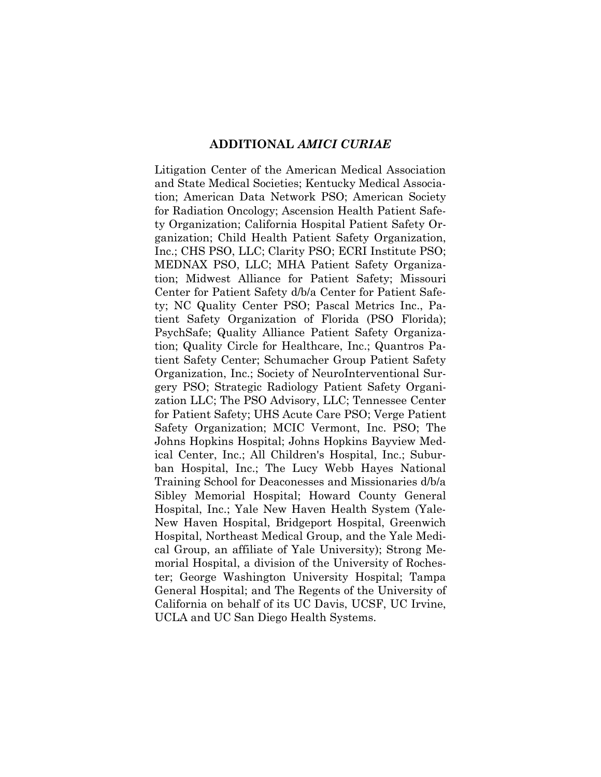#### **ADDITIONAL** *AMICI CURIAE*

Litigation Center of the American Medical Association and State Medical Societies; Kentucky Medical Association; American Data Network PSO; American Society for Radiation Oncology; Ascension Health Patient Safety Organization; California Hospital Patient Safety Organization; Child Health Patient Safety Organization, Inc.; CHS PSO, LLC; Clarity PSO; ECRI Institute PSO; MEDNAX PSO, LLC; MHA Patient Safety Organization; Midwest Alliance for Patient Safety; Missouri Center for Patient Safety d/b/a Center for Patient Safety; NC Quality Center PSO; Pascal Metrics Inc., Patient Safety Organization of Florida (PSO Florida); PsychSafe; Quality Alliance Patient Safety Organization; Quality Circle for Healthcare, Inc.; Quantros Patient Safety Center; Schumacher Group Patient Safety Organization, Inc.; Society of NeuroInterventional Surgery PSO; Strategic Radiology Patient Safety Organization LLC; The PSO Advisory, LLC; Tennessee Center for Patient Safety; UHS Acute Care PSO; Verge Patient Safety Organization; MCIC Vermont, Inc. PSO; The Johns Hopkins Hospital; Johns Hopkins Bayview Medical Center, Inc.; All Children's Hospital, Inc.; Suburban Hospital, Inc.; The Lucy Webb Hayes National Training School for Deaconesses and Missionaries d/b/a Sibley Memorial Hospital; Howard County General Hospital, Inc.; Yale New Haven Health System (Yale-New Haven Hospital, Bridgeport Hospital, Greenwich Hospital, Northeast Medical Group, and the Yale Medical Group, an affiliate of Yale University); Strong Memorial Hospital, a division of the University of Rochester; George Washington University Hospital; Tampa General Hospital; and The Regents of the University of California on behalf of its UC Davis, UCSF, UC Irvine, UCLA and UC San Diego Health Systems.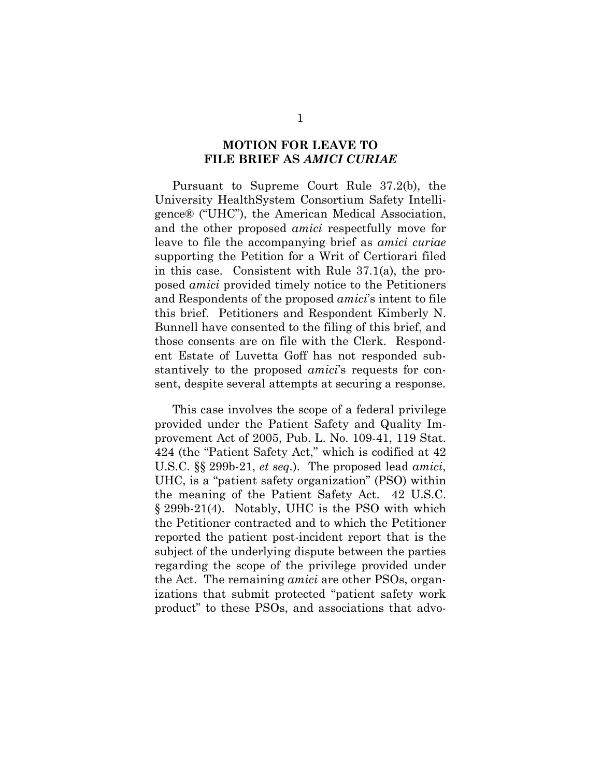### **MOTION FOR LEAVE TO FILE BRIEF AS** *AMICI CURIAE*

Pursuant to Supreme Court Rule 37.2(b), the University HealthSystem Consortium Safety Intelligence® ("UHC"), the American Medical Association, and the other proposed *amici* respectfully move for leave to file the accompanying brief as *amici curiae*  supporting the Petition for a Writ of Certiorari filed in this case. Consistent with Rule 37.1(a), the proposed *amici* provided timely notice to the Petitioners and Respondents of the proposed *amici*'s intent to file this brief. Petitioners and Respondent Kimberly N. Bunnell have consented to the filing of this brief, and those consents are on file with the Clerk. Respondent Estate of Luvetta Goff has not responded substantively to the proposed *amici*'s requests for consent, despite several attempts at securing a response.

This case involves the scope of a federal privilege provided under the Patient Safety and Quality Improvement Act of 2005, Pub. L. No. 109-41, 119 Stat. 424 (the "Patient Safety Act," which is codified at 42 U.S.C. §§ 299b-21, *et seq.*). The proposed lead *amici*, UHC, is a "patient safety organization" (PSO) within the meaning of the Patient Safety Act. 42 U.S.C. § 299b-21(4). Notably, UHC is the PSO with which the Petitioner contracted and to which the Petitioner reported the patient post-incident report that is the subject of the underlying dispute between the parties regarding the scope of the privilege provided under the Act. The remaining *amici* are other PSOs, organizations that submit protected "patient safety work product" to these PSOs, and associations that advo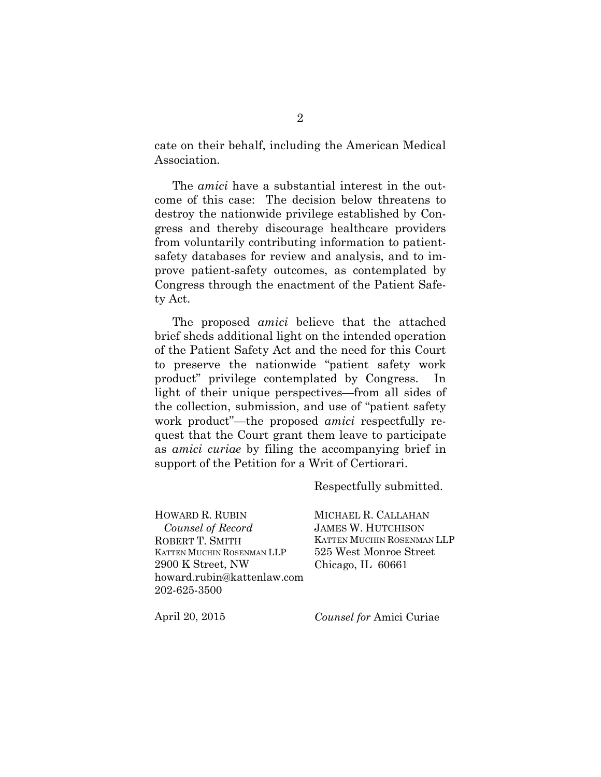cate on their behalf, including the American Medical Association.

The *amici* have a substantial interest in the outcome of this case: The decision below threatens to destroy the nationwide privilege established by Congress and thereby discourage healthcare providers from voluntarily contributing information to patientsafety databases for review and analysis, and to improve patient-safety outcomes, as contemplated by Congress through the enactment of the Patient Safety Act.

The proposed *amici* believe that the attached brief sheds additional light on the intended operation of the Patient Safety Act and the need for this Court to preserve the nationwide "patient safety work product" privilege contemplated by Congress. In light of their unique perspectives—from all sides of the collection, submission, and use of "patient safety work product"—the proposed *amici* respectfully request that the Court grant them leave to participate as *amici curiae* by filing the accompanying brief in support of the Petition for a Writ of Certiorari.

Respectfully submitted.

HOWARD R. RUBIN *Counsel of Record* ROBERT T. SMITH KATTEN MUCHIN ROSENMAN LLP 2900 K Street, NW howard.rubin@kattenlaw.com 202-625-3500

MICHAEL R. CALLAHAN JAMES W. HUTCHISON KATTEN MUCHIN ROSENMAN LLP 525 West Monroe Street Chicago, IL 60661

April 20, 2015

*Counsel for* Amici Curiae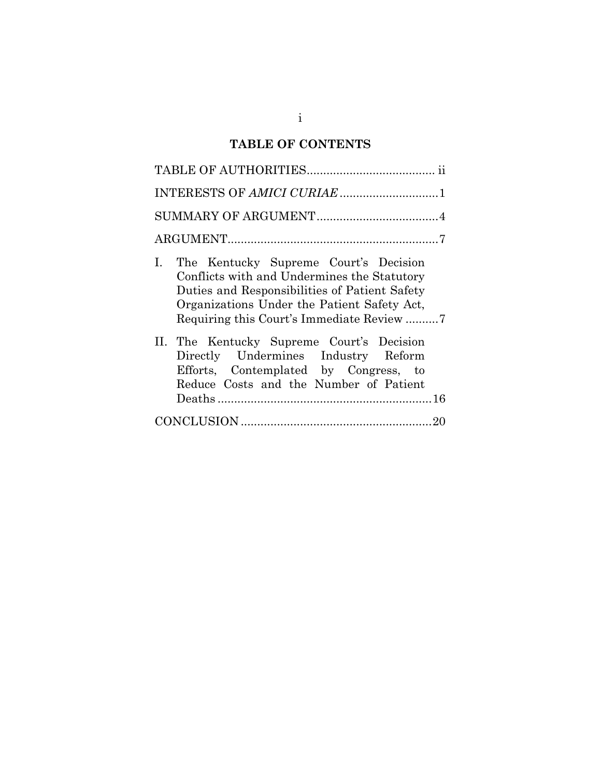# **TABLE OF CONTENTS**

| I. The Kentucky Supreme Court's Decision<br>Conflicts with and Undermines the Statutory<br>Duties and Responsibilities of Patient Safety<br>Organizations Under the Patient Safety Act, |
|-----------------------------------------------------------------------------------------------------------------------------------------------------------------------------------------|
| II. The Kentucky Supreme Court's Decision<br>Directly Undermines Industry Reform<br>Efforts, Contemplated by Congress, to<br>Reduce Costs and the Number of Patient                     |
|                                                                                                                                                                                         |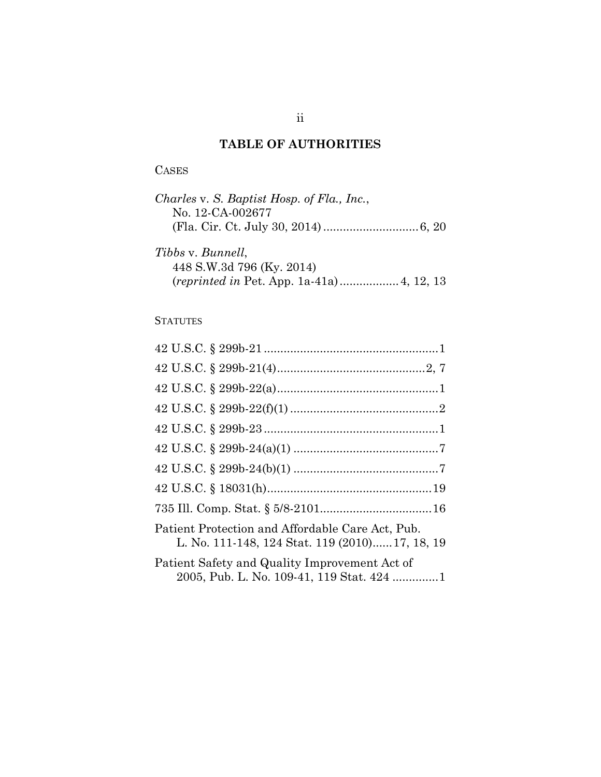## **TABLE OF AUTHORITIES**

## CASES

| Charles v. S. Baptist Hosp. of Fla., Inc., |  |
|--------------------------------------------|--|
| No. 12-CA-002677                           |  |
|                                            |  |
| Tibbs v. Bunnell,                          |  |
|                                            |  |
| 448 S.W.3d 796 (Ky. 2014)                  |  |

(*reprinted in* Pet. App. 1a-41a)..................4, 12, 13

## **STATUTES**

| Patient Protection and Affordable Care Act, Pub.<br>L. No. 111-148, 124 Stat. 119 (2010)17, 18, 19 |
|----------------------------------------------------------------------------------------------------|
| Patient Safety and Quality Improvement Act of<br>2005, Pub. L. No. 109-41, 119 Stat. 424 1         |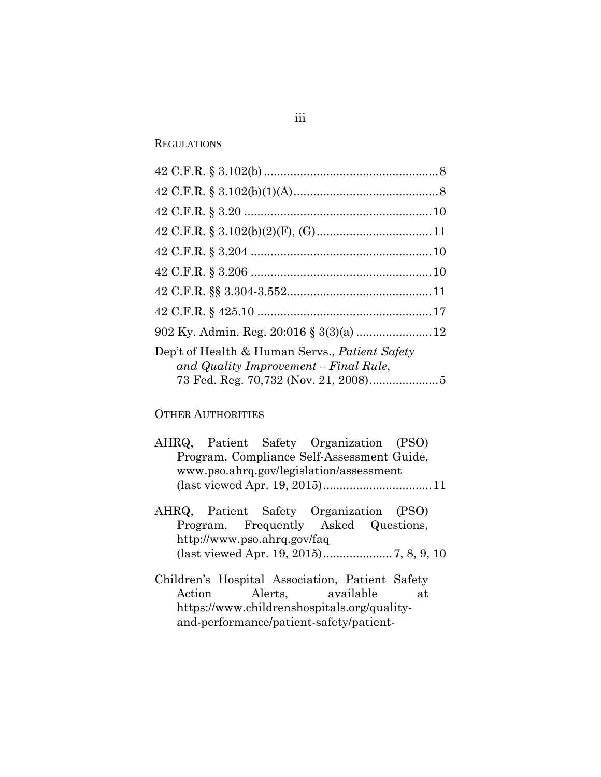#### **REGULATIONS**

| Dep't of Health & Human Servs., Patient Safety |
|------------------------------------------------|
| and Quality Improvement – Final Rule,          |
|                                                |

#### OTHER AUTHORITIES

|                                         |  |  | AHRQ, Patient Safety Organization (PSO)    |  |  |
|-----------------------------------------|--|--|--------------------------------------------|--|--|
|                                         |  |  | Program, Compliance Self-Assessment Guide, |  |  |
| www.pso.ahrq.gov/legislation/assessment |  |  |                                            |  |  |
|                                         |  |  |                                            |  |  |

- AHRQ, Patient Safety Organization (PSO) Program, Frequently Asked Questions, http://www.pso.ahrq.gov/faq (last viewed Apr. 19, 2015).....................7, 8, 9, 10
- Children's Hospital Association, Patient Safety Action Alerts, available at https://www.childrenshospitals.org/qualityand-performance/patient-safety/patient-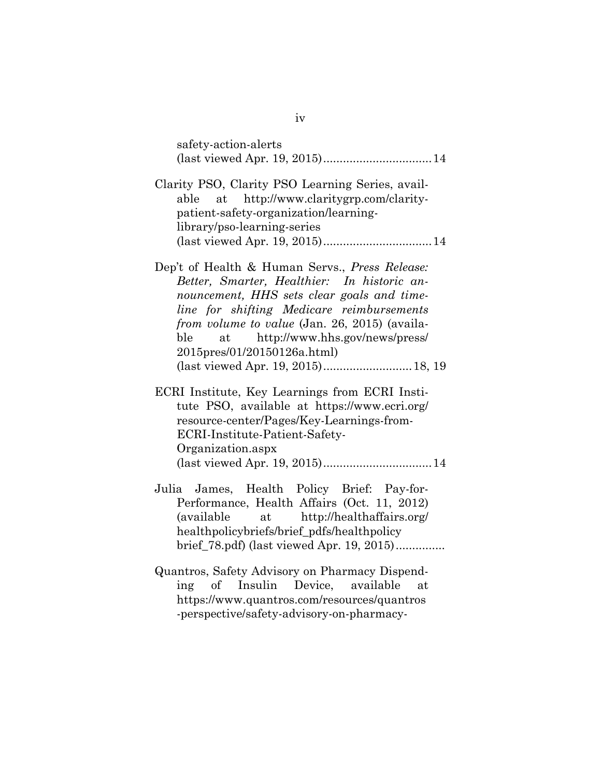| safety-action-alerts<br>(last viewed Apr. 19, 2015) 14                                                                                                                                                                                                                                                                                                     |
|------------------------------------------------------------------------------------------------------------------------------------------------------------------------------------------------------------------------------------------------------------------------------------------------------------------------------------------------------------|
| Clarity PSO, Clarity PSO Learning Series, avail-<br>at http://www.claritygrp.com/clarity-<br>able<br>patient-safety-organization/learning-<br>library/pso-learning-series                                                                                                                                                                                  |
| Dep't of Health & Human Servs., Press Release:<br>Better, Smarter, Healthier: In historic an-<br>nouncement, HHS sets clear goals and time-<br>line for shifting Medicare reimbursements<br>from volume to value (Jan. 26, 2015) (availa-<br>at http://www.hhs.gov/news/press/<br>ble<br>2015pres/01/20150126a.html)<br>(last viewed Apr. 19, 2015) 18, 19 |
| ECRI Institute, Key Learnings from ECRI Insti-<br>tute PSO, available at https://www.ecri.org/<br>resource-center/Pages/Key-Learnings-from-<br>ECRI-Institute-Patient-Safety-<br>Organization.aspx                                                                                                                                                         |
| Julia James, Health Policy Brief: Pay-for-<br>Performance, Health Affairs (Oct. 11, 2012)<br>(available at http://healthaffairs.org/<br>healthpolicybriefs/brief_pdfs/healthpolicy<br>brief_78.pdf) (last viewed Apr. 19, 2015)                                                                                                                            |
| Quantros, Safety Advisory on Pharmacy Dispend-<br>of Insulin Device, available<br>ing<br>at.<br>https://www.quantros.com/resources/quantros<br>-perspective/safety-advisory-on-pharmacy-                                                                                                                                                                   |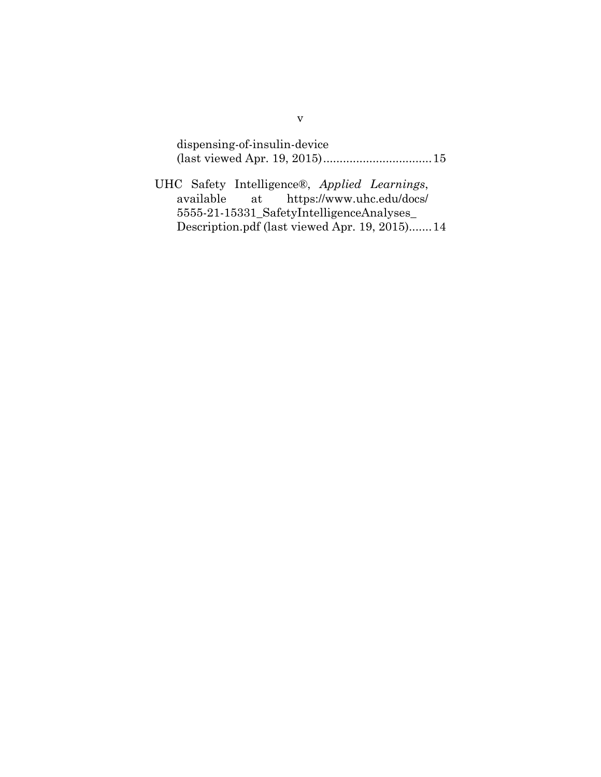dispensing-of-insulin-device (last viewed Apr. 19, 2015).................................15

UHC Safety Intelligence®, *Applied Learnings*, available at https://www.uhc.edu/docs/ 5555-21-15331\_SafetyIntelligenceAnalyses\_ Description.pdf (last viewed Apr. 19, 2015).......14

v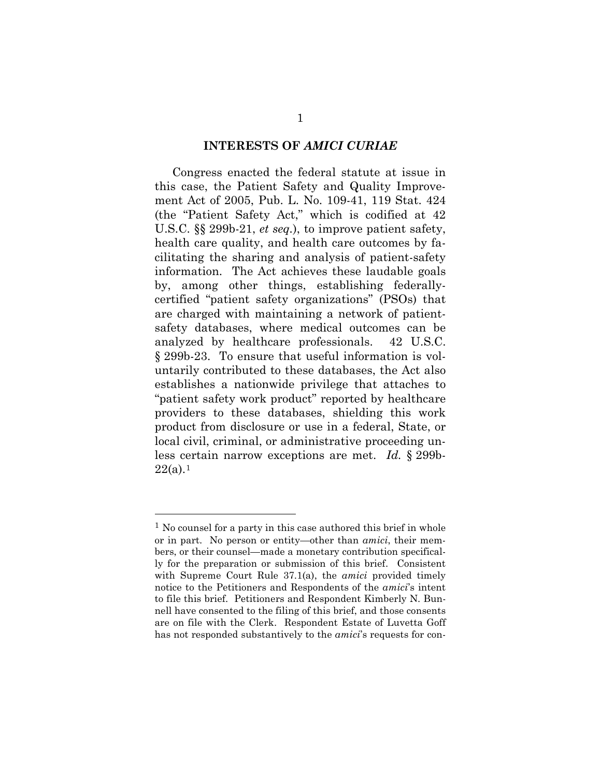#### **INTERESTS OF** *AMICI CURIAE*

Congress enacted the federal statute at issue in this case, the Patient Safety and Quality Improvement Act of 2005, Pub. L. No. 109-41, 119 Stat. 424 (the "Patient Safety Act," which is codified at 42 U.S.C. §§ 299b-21, *et seq.*), to improve patient safety, health care quality, and health care outcomes by facilitating the sharing and analysis of patient-safety information. The Act achieves these laudable goals by, among other things, establishing federallycertified "patient safety organizations" (PSOs) that are charged with maintaining a network of patientsafety databases, where medical outcomes can be analyzed by healthcare professionals. 42 U.S.C. § 299b-23. To ensure that useful information is voluntarily contributed to these databases, the Act also establishes a nationwide privilege that attaches to "patient safety work product" reported by healthcare providers to these databases, shielding this work product from disclosure or use in a federal, State, or local civil, criminal, or administrative proceeding unless certain narrow exceptions are met. *Id.* § 299b- $22(a).<sup>1</sup>$  $22(a).<sup>1</sup>$  $22(a).<sup>1</sup>$ 

<span id="page-9-0"></span><sup>1</sup> No counsel for a party in this case authored this brief in whole or in part. No person or entity—other than *amici*, their members, or their counsel—made a monetary contribution specifically for the preparation or submission of this brief. Consistent with Supreme Court Rule 37.1(a), the *amici* provided timely notice to the Petitioners and Respondents of the *amici*'s intent to file this brief. Petitioners and Respondent Kimberly N. Bunnell have consented to the filing of this brief, and those consents are on file with the Clerk. Respondent Estate of Luvetta Goff has not responded substantively to the *amici*'s requests for con-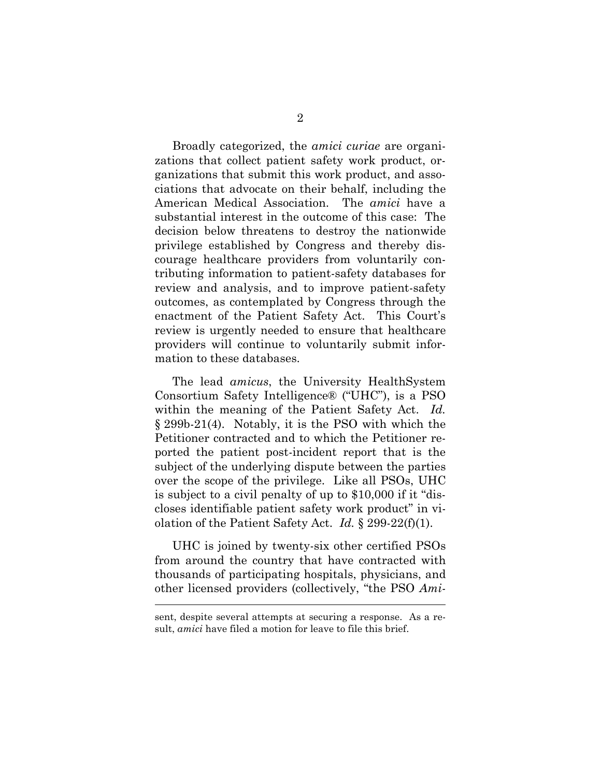Broadly categorized, the *amici curiae* are organizations that collect patient safety work product, organizations that submit this work product, and associations that advocate on their behalf, including the American Medical Association. The *amici* have a substantial interest in the outcome of this case: The decision below threatens to destroy the nationwide privilege established by Congress and thereby discourage healthcare providers from voluntarily contributing information to patient-safety databases for review and analysis, and to improve patient-safety outcomes, as contemplated by Congress through the enactment of the Patient Safety Act. This Court's review is urgently needed to ensure that healthcare providers will continue to voluntarily submit information to these databases.

The lead *amicus*, the University HealthSystem Consortium Safety Intelligence® ("UHC"), is a PSO within the meaning of the Patient Safety Act. *Id.* § 299b-21(4). Notably, it is the PSO with which the Petitioner contracted and to which the Petitioner reported the patient post-incident report that is the subject of the underlying dispute between the parties over the scope of the privilege. Like all PSOs, UHC is subject to a civil penalty of up to \$10,000 if it "discloses identifiable patient safety work product" in violation of the Patient Safety Act. *Id.* § 299-22(f)(1).

UHC is joined by twenty-six other certified PSOs from around the country that have contracted with thousands of participating hospitals, physicians, and other licensed providers (collectively, "the PSO *Ami-*

sent, despite several attempts at securing a response. As a result, *amici* have filed a motion for leave to file this brief.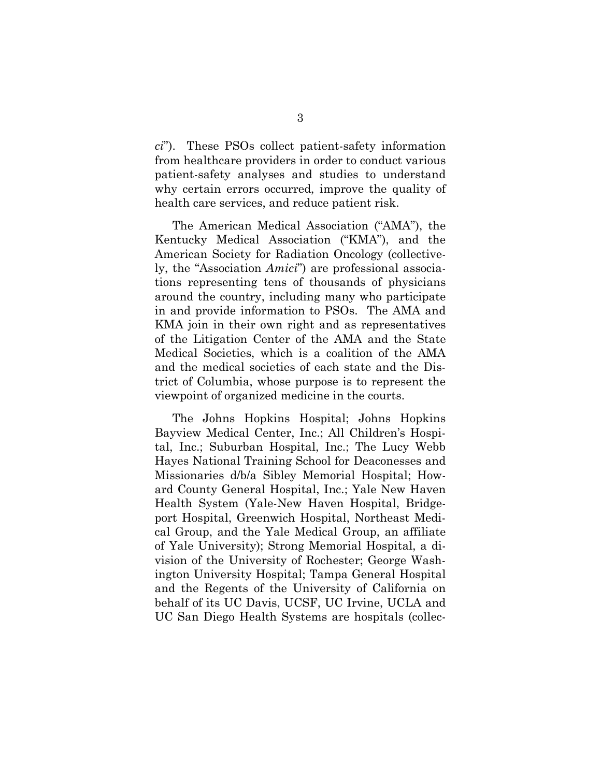*ci*"). These PSOs collect patient-safety information from healthcare providers in order to conduct various patient-safety analyses and studies to understand why certain errors occurred, improve the quality of health care services, and reduce patient risk.

The American Medical Association ("AMA"), the Kentucky Medical Association ("KMA"), and the American Society for Radiation Oncology (collectively, the "Association *Amici*") are professional associations representing tens of thousands of physicians around the country, including many who participate in and provide information to PSOs. The AMA and KMA join in their own right and as representatives of the Litigation Center of the AMA and the State Medical Societies, which is a coalition of the AMA and the medical societies of each state and the District of Columbia, whose purpose is to represent the viewpoint of organized medicine in the courts.

The Johns Hopkins Hospital; Johns Hopkins Bayview Medical Center, Inc.; All Children's Hospital, Inc.; Suburban Hospital, Inc.; The Lucy Webb Hayes National Training School for Deaconesses and Missionaries d/b/a Sibley Memorial Hospital; Howard County General Hospital, Inc.; Yale New Haven Health System (Yale-New Haven Hospital, Bridgeport Hospital, Greenwich Hospital, Northeast Medical Group, and the Yale Medical Group, an affiliate of Yale University); Strong Memorial Hospital, a division of the University of Rochester; George Washington University Hospital; Tampa General Hospital and the Regents of the University of California on behalf of its UC Davis, UCSF, UC Irvine, UCLA and UC San Diego Health Systems are hospitals (collec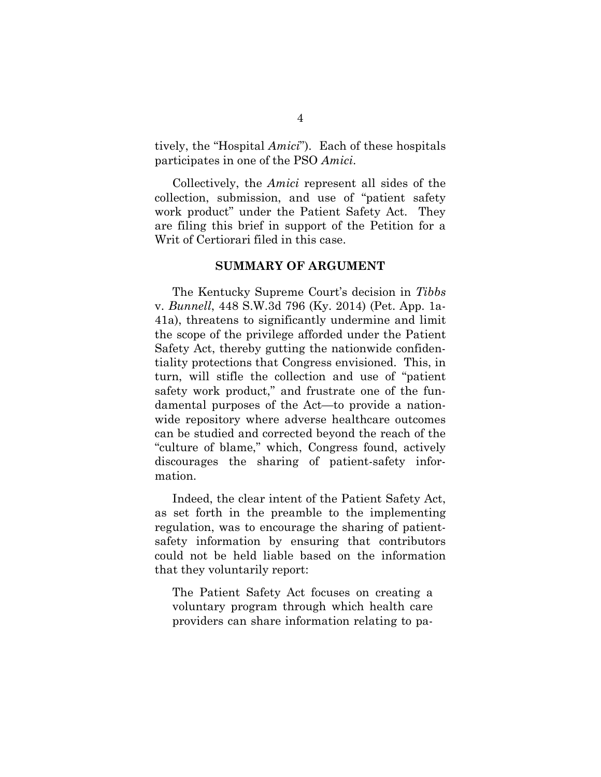tively, the "Hospital *Amici*"). Each of these hospitals participates in one of the PSO *Amici*.

Collectively, the *Amici* represent all sides of the collection, submission, and use of "patient safety work product" under the Patient Safety Act. They are filing this brief in support of the Petition for a Writ of Certiorari filed in this case.

#### **SUMMARY OF ARGUMENT**

The Kentucky Supreme Court's decision in *Tibbs*  v. *Bunnell*, 448 S.W.3d 796 (Ky. 2014) (Pet. App. 1a-41a), threatens to significantly undermine and limit the scope of the privilege afforded under the Patient Safety Act, thereby gutting the nationwide confidentiality protections that Congress envisioned. This, in turn, will stifle the collection and use of "patient safety work product," and frustrate one of the fundamental purposes of the Act—to provide a nationwide repository where adverse healthcare outcomes can be studied and corrected beyond the reach of the "culture of blame," which, Congress found, actively discourages the sharing of patient-safety information.

Indeed, the clear intent of the Patient Safety Act, as set forth in the preamble to the implementing regulation, was to encourage the sharing of patientsafety information by ensuring that contributors could not be held liable based on the information that they voluntarily report:

The Patient Safety Act focuses on creating a voluntary program through which health care providers can share information relating to pa-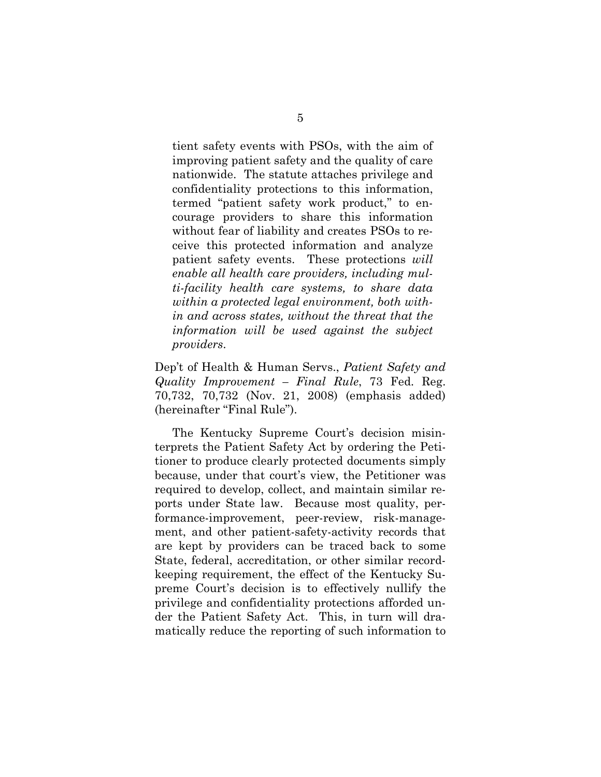tient safety events with PSOs, with the aim of improving patient safety and the quality of care nationwide. The statute attaches privilege and confidentiality protections to this information, termed "patient safety work product," to encourage providers to share this information without fear of liability and creates PSOs to receive this protected information and analyze patient safety events. These protections *will enable all health care providers, including multi-facility health care systems, to share data within a protected legal environment, both within and across states, without the threat that the information will be used against the subject providers*.

Dep't of Health & Human Servs., *Patient Safety and Quality Improvement – Final Rule*, 73 Fed. Reg. 70,732, 70,732 (Nov. 21, 2008) (emphasis added) (hereinafter "Final Rule").

The Kentucky Supreme Court's decision misinterprets the Patient Safety Act by ordering the Petitioner to produce clearly protected documents simply because, under that court's view, the Petitioner was required to develop, collect, and maintain similar reports under State law. Because most quality, performance-improvement, peer-review, risk-management, and other patient-safety-activity records that are kept by providers can be traced back to some State, federal, accreditation, or other similar recordkeeping requirement, the effect of the Kentucky Supreme Court's decision is to effectively nullify the privilege and confidentiality protections afforded under the Patient Safety Act. This, in turn will dramatically reduce the reporting of such information to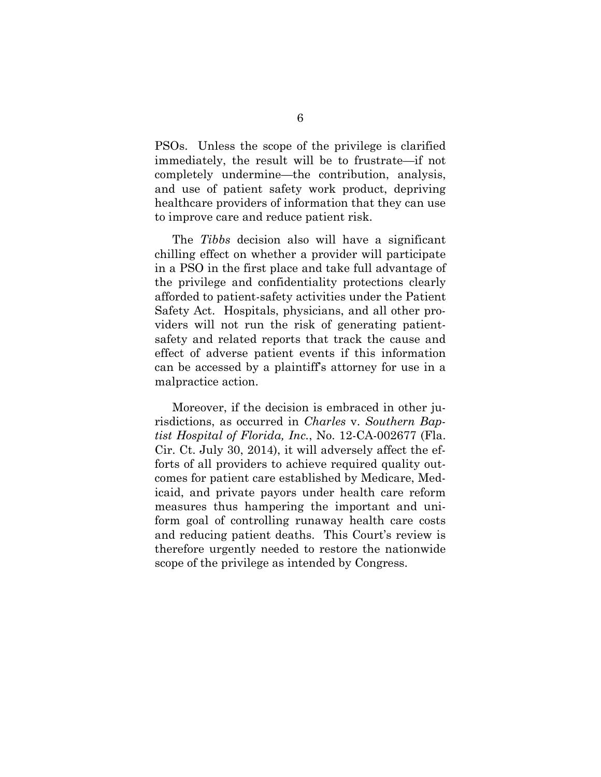PSOs. Unless the scope of the privilege is clarified immediately, the result will be to frustrate—if not completely undermine—the contribution, analysis, and use of patient safety work product, depriving healthcare providers of information that they can use to improve care and reduce patient risk.

The *Tibbs* decision also will have a significant chilling effect on whether a provider will participate in a PSO in the first place and take full advantage of the privilege and confidentiality protections clearly afforded to patient-safety activities under the Patient Safety Act. Hospitals, physicians, and all other providers will not run the risk of generating patientsafety and related reports that track the cause and effect of adverse patient events if this information can be accessed by a plaintiff's attorney for use in a malpractice action.

Moreover, if the decision is embraced in other jurisdictions, as occurred in *Charles* v. *Southern Baptist Hospital of Florida, Inc.*, No. 12-CA-002677 (Fla. Cir. Ct. July 30, 2014), it will adversely affect the efforts of all providers to achieve required quality outcomes for patient care established by Medicare, Medicaid, and private payors under health care reform measures thus hampering the important and uniform goal of controlling runaway health care costs and reducing patient deaths. This Court's review is therefore urgently needed to restore the nationwide scope of the privilege as intended by Congress.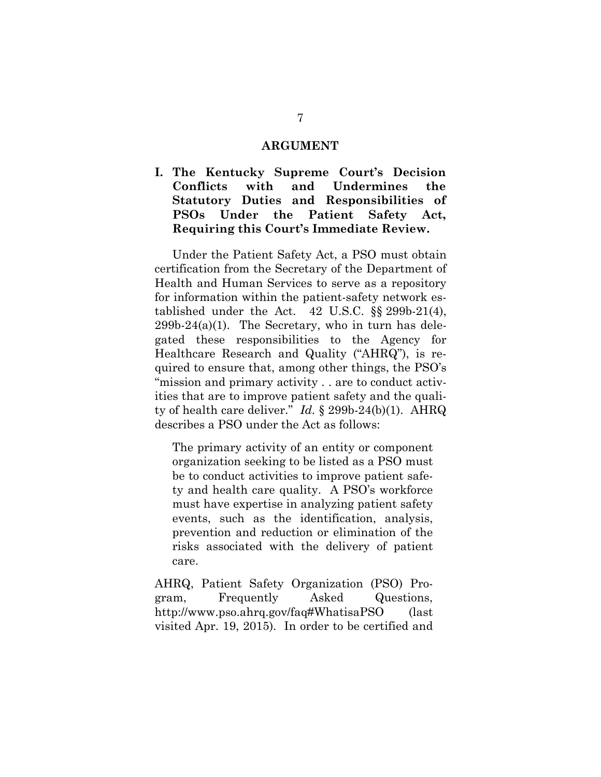#### **ARGUMENT**

**I. The Kentucky Supreme Court's Decision Conflicts with and Undermines the Statutory Duties and Responsibilities of PSOs Under the Patient Safety Act, Requiring this Court's Immediate Review.**

Under the Patient Safety Act, a PSO must obtain certification from the Secretary of the Department of Health and Human Services to serve as a repository for information within the patient-safety network established under the Act.  $42 \text{ U.S.C. }$  §§ 299b-21(4),  $299b-24(a)(1)$ . The Secretary, who in turn has delegated these responsibilities to the Agency for Healthcare Research and Quality ("AHRQ"), is required to ensure that, among other things, the PSO's "mission and primary activity . . are to conduct activities that are to improve patient safety and the quality of health care deliver." *Id.* § 299b-24(b)(1). AHRQ describes a PSO under the Act as follows:

The primary activity of an entity or component organization seeking to be listed as a PSO must be to conduct activities to improve patient safety and health care quality. A PSO's workforce must have expertise in analyzing patient safety events, such as the identification, analysis, prevention and reduction or elimination of the risks associated with the delivery of patient care.

AHRQ, Patient Safety Organization (PSO) Program, Frequently Asked Questions, http://www.pso.ahrq.gov/faq#WhatisaPSO (last visited Apr. 19, 2015). In order to be certified and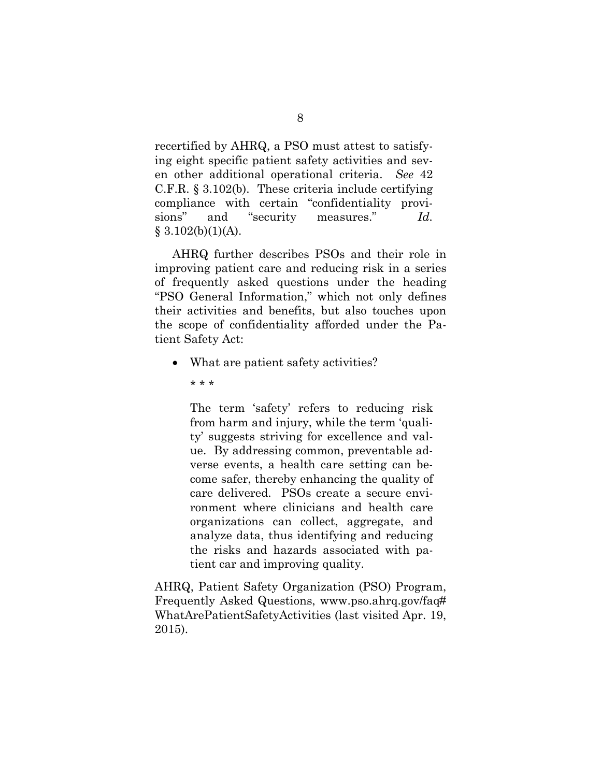recertified by AHRQ, a PSO must attest to satisfying eight specific patient safety activities and seven other additional operational criteria. *See* 42 C.F.R. § 3.102(b). These criteria include certifying compliance with certain "confidentiality provisions" and "security measures." *Id.*  $§ 3.102(b)(1)(A).$ 

AHRQ further describes PSOs and their role in improving patient care and reducing risk in a series of frequently asked questions under the heading "PSO General Information," which not only defines their activities and benefits, but also touches upon the scope of confidentiality afforded under the Patient Safety Act:

- What are patient safety activities?
	- \* \* \*

The term 'safety' refers to reducing risk from harm and injury, while the term 'quality' suggests striving for excellence and value. By addressing common, preventable adverse events, a health care setting can become safer, thereby enhancing the quality of care delivered. PSOs create a secure environment where clinicians and health care organizations can collect, aggregate, and analyze data, thus identifying and reducing the risks and hazards associated with patient car and improving quality.

AHRQ, Patient Safety Organization (PSO) Program, Frequently Asked Questions, www.pso.ahrq.gov/faq# WhatArePatientSafetyActivities (last visited Apr. 19, 2015).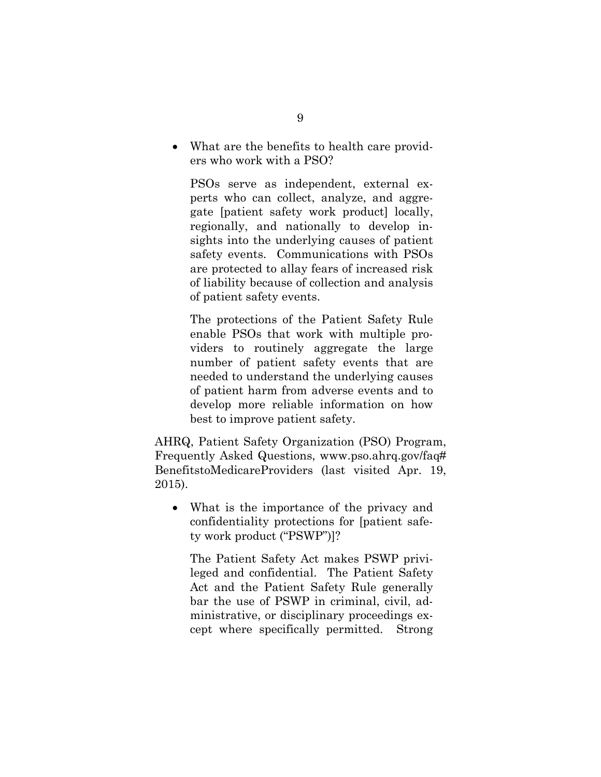• What are the benefits to health care providers who work with a PSO?

PSOs serve as independent, external experts who can collect, analyze, and aggregate [patient safety work product] locally, regionally, and nationally to develop insights into the underlying causes of patient safety events. Communications with PSOs are protected to allay fears of increased risk of liability because of collection and analysis of patient safety events.

The protections of the Patient Safety Rule enable PSOs that work with multiple providers to routinely aggregate the large number of patient safety events that are needed to understand the underlying causes of patient harm from adverse events and to develop more reliable information on how best to improve patient safety.

AHRQ, Patient Safety Organization (PSO) Program, Frequently Asked Questions, www.pso.ahrq.gov/faq# BenefitstoMedicareProviders (last visited Apr. 19, 2015).

• What is the importance of the privacy and confidentiality protections for [patient safety work product ("PSWP")]?

The Patient Safety Act makes PSWP privileged and confidential. The Patient Safety Act and the Patient Safety Rule generally bar the use of PSWP in criminal, civil, administrative, or disciplinary proceedings except where specifically permitted. Strong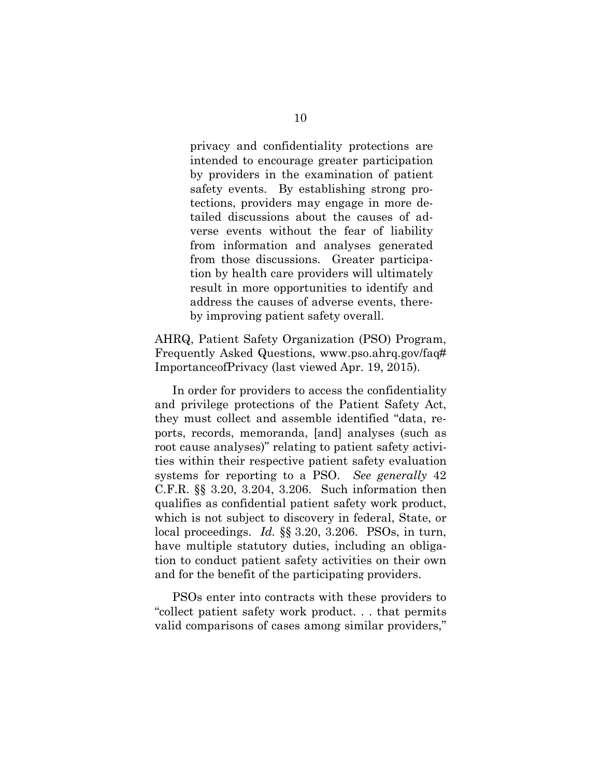privacy and confidentiality protections are intended to encourage greater participation by providers in the examination of patient safety events. By establishing strong protections, providers may engage in more detailed discussions about the causes of adverse events without the fear of liability from information and analyses generated from those discussions. Greater participation by health care providers will ultimately result in more opportunities to identify and address the causes of adverse events, thereby improving patient safety overall.

AHRQ, Patient Safety Organization (PSO) Program, Frequently Asked Questions, www.pso.ahrq.gov/faq# ImportanceofPrivacy (last viewed Apr. 19, 2015).

In order for providers to access the confidentiality and privilege protections of the Patient Safety Act, they must collect and assemble identified "data, reports, records, memoranda, [and] analyses (such as root cause analyses)" relating to patient safety activities within their respective patient safety evaluation systems for reporting to a PSO. *See generally* 42 C.F.R. §§ 3.20, 3.204, 3.206. Such information then qualifies as confidential patient safety work product, which is not subject to discovery in federal, State, or local proceedings. *Id.* §§ 3.20, 3.206. PSOs, in turn, have multiple statutory duties, including an obligation to conduct patient safety activities on their own and for the benefit of the participating providers.

PSOs enter into contracts with these providers to "collect patient safety work product. . . that permits valid comparisons of cases among similar providers,"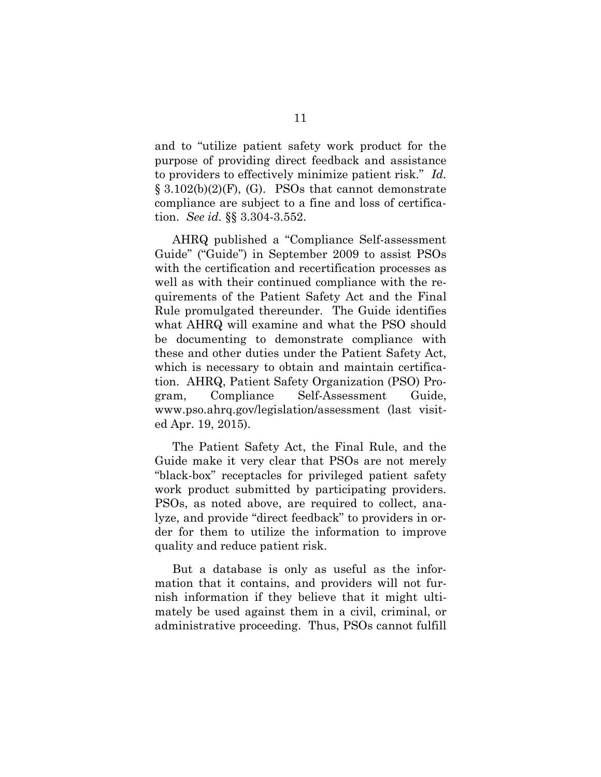and to "utilize patient safety work product for the purpose of providing direct feedback and assistance to providers to effectively minimize patient risk." *Id.*  $\S 3.102(b)(2)(F)$ , (G). PSOs that cannot demonstrate compliance are subject to a fine and loss of certification. *See id.* §§ 3.304-3.552.

AHRQ published a "Compliance Self-assessment Guide" ("Guide") in September 2009 to assist PSOs with the certification and recertification processes as well as with their continued compliance with the requirements of the Patient Safety Act and the Final Rule promulgated thereunder. The Guide identifies what AHRQ will examine and what the PSO should be documenting to demonstrate compliance with these and other duties under the Patient Safety Act, which is necessary to obtain and maintain certification. AHRQ, Patient Safety Organization (PSO) Program, Compliance Self-Assessment Guide, www.pso.ahrq.gov/legislation/assessment (last visited Apr. 19, 2015).

The Patient Safety Act, the Final Rule, and the Guide make it very clear that PSOs are not merely "black-box" receptacles for privileged patient safety work product submitted by participating providers. PSOs, as noted above, are required to collect, analyze, and provide "direct feedback" to providers in order for them to utilize the information to improve quality and reduce patient risk.

But a database is only as useful as the information that it contains, and providers will not furnish information if they believe that it might ultimately be used against them in a civil, criminal, or administrative proceeding. Thus, PSOs cannot fulfill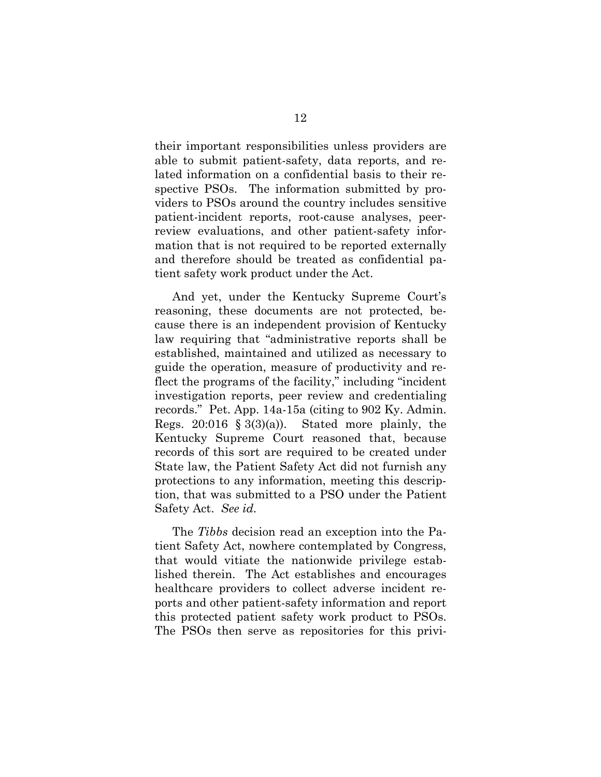their important responsibilities unless providers are able to submit patient-safety, data reports, and related information on a confidential basis to their respective PSOs. The information submitted by providers to PSOs around the country includes sensitive patient-incident reports, root-cause analyses, peerreview evaluations, and other patient-safety information that is not required to be reported externally and therefore should be treated as confidential patient safety work product under the Act.

And yet, under the Kentucky Supreme Court's reasoning, these documents are not protected, because there is an independent provision of Kentucky law requiring that "administrative reports shall be established, maintained and utilized as necessary to guide the operation, measure of productivity and reflect the programs of the facility," including "incident investigation reports, peer review and credentialing records." Pet. App. 14a-15a (citing to 902 Ky. Admin. Regs. 20:016  $\S$  3(3)(a)). Stated more plainly, the Kentucky Supreme Court reasoned that, because records of this sort are required to be created under State law, the Patient Safety Act did not furnish any protections to any information, meeting this description, that was submitted to a PSO under the Patient Safety Act. *See id.*

The *Tibbs* decision read an exception into the Patient Safety Act, nowhere contemplated by Congress, that would vitiate the nationwide privilege established therein. The Act establishes and encourages healthcare providers to collect adverse incident reports and other patient-safety information and report this protected patient safety work product to PSOs. The PSOs then serve as repositories for this privi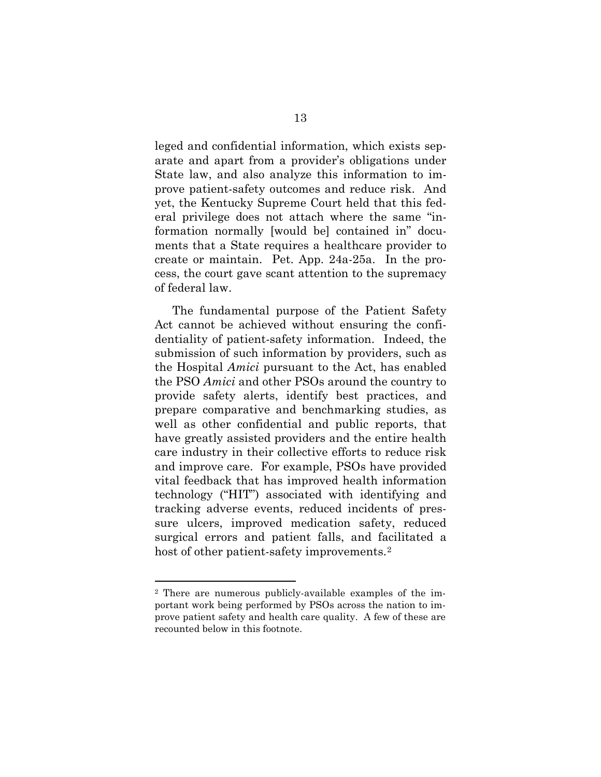leged and confidential information, which exists separate and apart from a provider's obligations under State law, and also analyze this information to improve patient-safety outcomes and reduce risk. And yet, the Kentucky Supreme Court held that this federal privilege does not attach where the same "information normally [would be] contained in" documents that a State requires a healthcare provider to create or maintain. Pet. App. 24a-25a. In the process, the court gave scant attention to the supremacy of federal law.

The fundamental purpose of the Patient Safety Act cannot be achieved without ensuring the confidentiality of patient-safety information. Indeed, the submission of such information by providers, such as the Hospital *Amici* pursuant to the Act, has enabled the PSO *Amici* and other PSOs around the country to provide safety alerts, identify best practices, and prepare comparative and benchmarking studies, as well as other confidential and public reports, that have greatly assisted providers and the entire health care industry in their collective efforts to reduce risk and improve care. For example, PSOs have provided vital feedback that has improved health information technology ("HIT") associated with identifying and tracking adverse events, reduced incidents of pressure ulcers, improved medication safety, reduced surgical errors and patient falls, and facilitated a host of other patient-safety improvements.<sup>2</sup>

<span id="page-21-0"></span><sup>2</sup> There are numerous publicly-available examples of the important work being performed by PSOs across the nation to improve patient safety and health care quality. A few of these are recounted below in this footnote.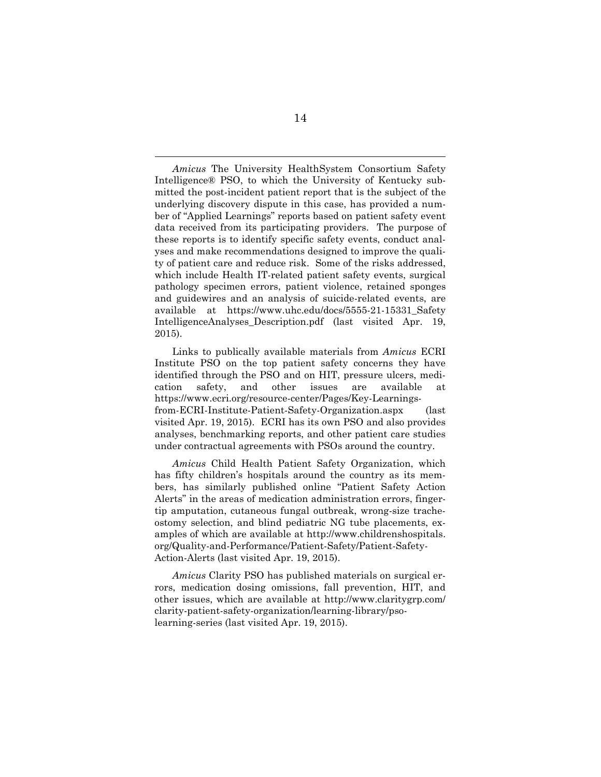*Amicus* The University HealthSystem Consortium Safety Intelligence® PSO, to which the University of Kentucky submitted the post-incident patient report that is the subject of the underlying discovery dispute in this case, has provided a number of "Applied Learnings" reports based on patient safety event data received from its participating providers. The purpose of these reports is to identify specific safety events, conduct analyses and make recommendations designed to improve the quality of patient care and reduce risk. Some of the risks addressed, which include Health IT-related patient safety events, surgical pathology specimen errors, patient violence, retained sponges and guidewires and an analysis of suicide-related events, are available at https://www.uhc.edu/docs/5555-21-15331\_Safety IntelligenceAnalyses\_Description.pdf (last visited Apr. 19, 2015).

Links to publically available materials from *Amicus* ECRI Institute PSO on the top patient safety concerns they have identified through the PSO and on HIT, pressure ulcers, medication safety, and other issues are available at https://www.ecri.org/resource-center/Pages/Key-Learningsfrom-ECRI-Institute-Patient-Safety-Organization.aspx (last visited Apr. 19, 2015). ECRI has its own PSO and also provides analyses, benchmarking reports, and other patient care studies under contractual agreements with PSOs around the country.

*Amicus* Child Health Patient Safety Organization, which has fifty children's hospitals around the country as its members, has similarly published online "Patient Safety Action Alerts" in the areas of medication administration errors, fingertip amputation, cutaneous fungal outbreak, wrong-size tracheostomy selection, and blind pediatric NG tube placements, examples of which are available at http://www.childrenshospitals. org/Quality-and-Performance/Patient-Safety/Patient-Safety-Action-Alerts (last visited Apr. 19, 2015).

*Amicus* Clarity PSO has published materials on surgical errors, medication dosing omissions, fall prevention, HIT, and other issues, which are available at http://www.claritygrp.com/ clarity-patient-safety-organization/learning-library/psolearning-series (last visited Apr. 19, 2015).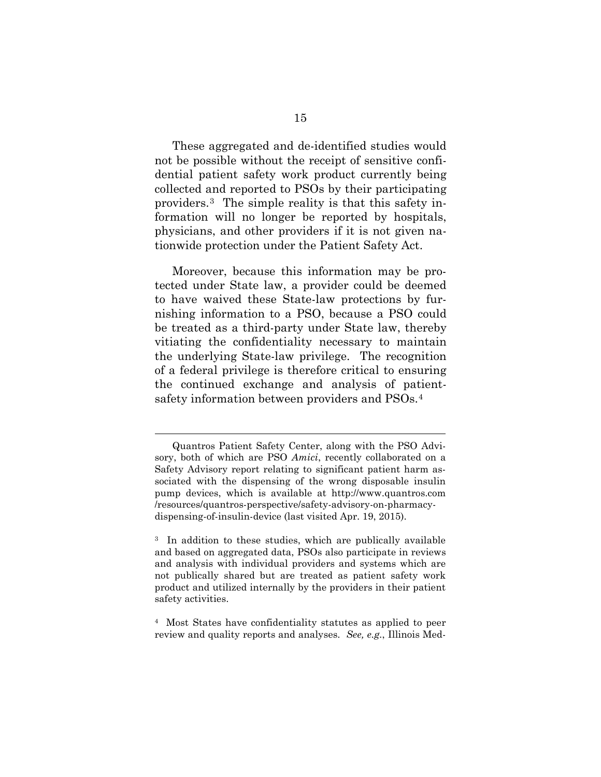These aggregated and de-identified studies would not be possible without the receipt of sensitive confidential patient safety work product currently being collected and reported to PSOs by their participating providers.[3](#page-23-0) The simple reality is that this safety information will no longer be reported by hospitals, physicians, and other providers if it is not given nationwide protection under the Patient Safety Act.

Moreover, because this information may be protected under State law, a provider could be deemed to have waived these State-law protections by furnishing information to a PSO, because a PSO could be treated as a third-party under State law, thereby vitiating the confidentiality necessary to maintain the underlying State-law privilege. The recognition of a federal privilege is therefore critical to ensuring the continued exchange and analysis of patientsafety information between providers and PSOs.[4](#page-23-1)

Quantros Patient Safety Center, along with the PSO Advisory, both of which are PSO *Amici*, recently collaborated on a Safety Advisory report relating to significant patient harm associated with the dispensing of the wrong disposable insulin pump devices, which is available at http://www.quantros.com /resources/quantros-perspective/safety-advisory-on-pharmacydispensing-of-insulin-device (last visited Apr. 19, 2015).

<span id="page-23-0"></span><sup>&</sup>lt;sup>3</sup> In addition to these studies, which are publically available and based on aggregated data, PSOs also participate in reviews and analysis with individual providers and systems which are not publically shared but are treated as patient safety work product and utilized internally by the providers in their patient safety activities.

<span id="page-23-1"></span><sup>4</sup> Most States have confidentiality statutes as applied to peer review and quality reports and analyses. *See, e.g.*, Illinois Med-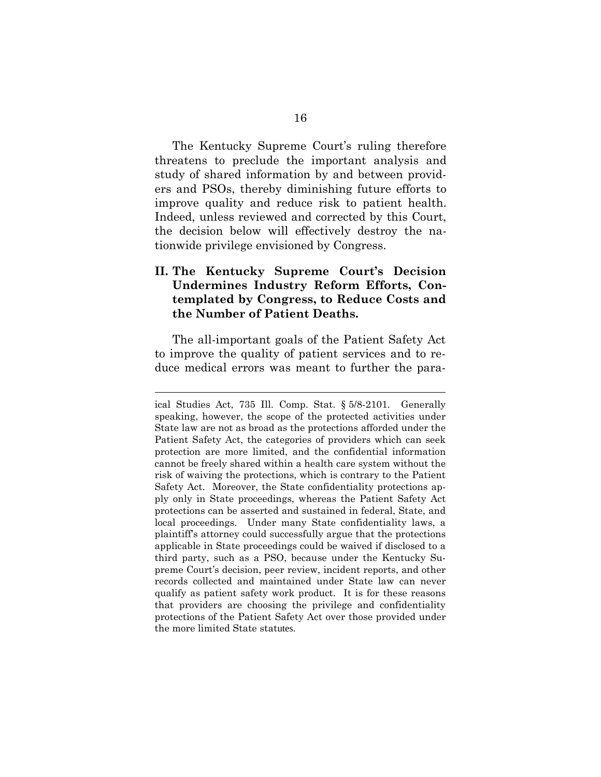The Kentucky Supreme Court's ruling therefore threatens to preclude the important analysis and study of shared information by and between providers and PSOs, thereby diminishing future efforts to improve quality and reduce risk to patient health. Indeed, unless reviewed and corrected by this Court, the decision below will effectively destroy the nationwide privilege envisioned by Congress.

### **II. The Kentucky Supreme Court's Decision Undermines Industry Reform Efforts, Contemplated by Congress, to Reduce Costs and the Number of Patient Deaths.**

The all-important goals of the Patient Safety Act to improve the quality of patient services and to reduce medical errors was meant to further the para-

ical Studies Act, 735 Ill. Comp. Stat. § 5/8-2101. Generally speaking, however, the scope of the protected activities under State law are not as broad as the protections afforded under the Patient Safety Act, the categories of providers which can seek protection are more limited, and the confidential information cannot be freely shared within a health care system without the risk of waiving the protections, which is contrary to the Patient Safety Act. Moreover, the State confidentiality protections apply only in State proceedings, whereas the Patient Safety Act protections can be asserted and sustained in federal, State, and local proceedings. Under many State confidentiality laws, a plaintiff's attorney could successfully argue that the protections applicable in State proceedings could be waived if disclosed to a third party, such as a PSO, because under the Kentucky Supreme Court's decision, peer review, incident reports, and other records collected and maintained under State law can never qualify as patient safety work product. It is for these reasons that providers are choosing the privilege and confidentiality protections of the Patient Safety Act over those provided under the more limited State statutes.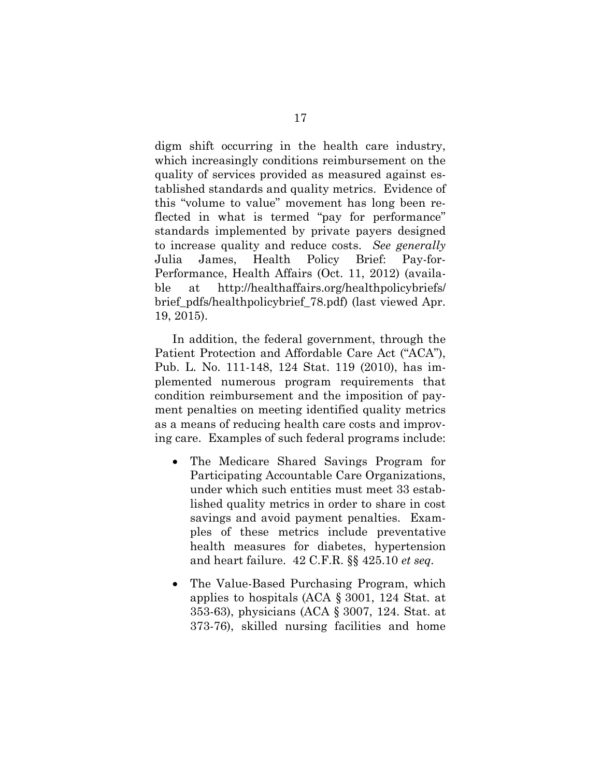digm shift occurring in the health care industry, which increasingly conditions reimbursement on the quality of services provided as measured against established standards and quality metrics. Evidence of this "volume to value" movement has long been reflected in what is termed "pay for performance" standards implemented by private payers designed to increase quality and reduce costs. *See generally* Julia James, Health Policy Brief: Pay-for-Performance, Health Affairs (Oct. 11, 2012) (available at http://healthaffairs.org/healthpolicybriefs/ brief\_pdfs/healthpolicybrief\_78.pdf) (last viewed Apr. 19, 2015).

In addition, the federal government, through the Patient Protection and Affordable Care Act ("ACA"), Pub. L. No. 111-148, 124 Stat. 119 (2010), has implemented numerous program requirements that condition reimbursement and the imposition of payment penalties on meeting identified quality metrics as a means of reducing health care costs and improving care. Examples of such federal programs include:

- The Medicare Shared Savings Program for Participating Accountable Care Organizations, under which such entities must meet 33 established quality metrics in order to share in cost savings and avoid payment penalties. Examples of these metrics include preventative health measures for diabetes, hypertension and heart failure. 42 C.F.R. §§ 425.10 *et seq.*
- The Value-Based Purchasing Program, which applies to hospitals (ACA § 3001, 124 Stat. at 353-63), physicians (ACA § 3007, 124. Stat. at 373-76), skilled nursing facilities and home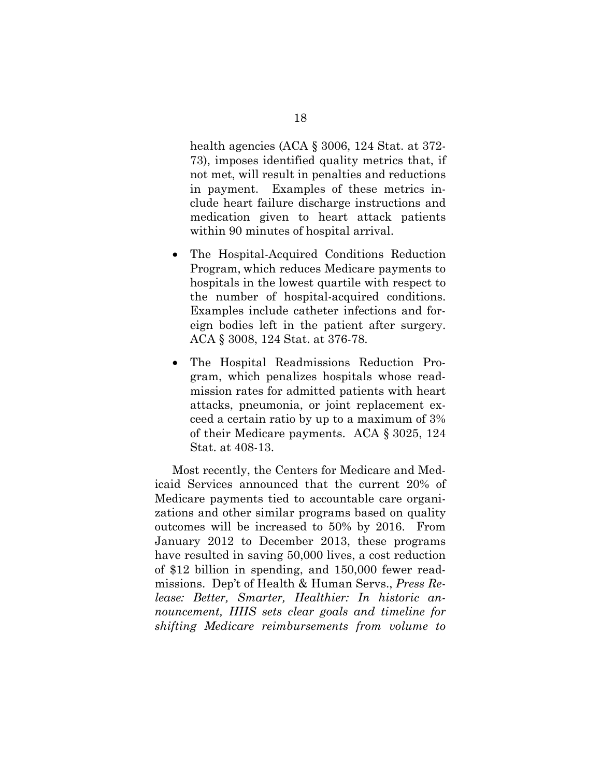health agencies (ACA § 3006, 124 Stat. at 372- 73), imposes identified quality metrics that, if not met, will result in penalties and reductions in payment. Examples of these metrics include heart failure discharge instructions and medication given to heart attack patients within 90 minutes of hospital arrival.

- The Hospital-Acquired Conditions Reduction Program, which reduces Medicare payments to hospitals in the lowest quartile with respect to the number of hospital-acquired conditions. Examples include catheter infections and foreign bodies left in the patient after surgery. ACA § 3008, 124 Stat. at 376-78.
- The Hospital Readmissions Reduction Program, which penalizes hospitals whose readmission rates for admitted patients with heart attacks, pneumonia, or joint replacement exceed a certain ratio by up to a maximum of 3% of their Medicare payments. ACA § 3025, 124 Stat. at 408-13.

Most recently, the Centers for Medicare and Medicaid Services announced that the current 20% of Medicare payments tied to accountable care organizations and other similar programs based on quality outcomes will be increased to 50% by 2016. From January 2012 to December 2013, these programs have resulted in saving 50,000 lives, a cost reduction of \$12 billion in spending, and 150,000 fewer readmissions. Dep't of Health & Human Servs., *Press Release: Better, Smarter, Healthier: In historic announcement, HHS sets clear goals and timeline for shifting Medicare reimbursements from volume to*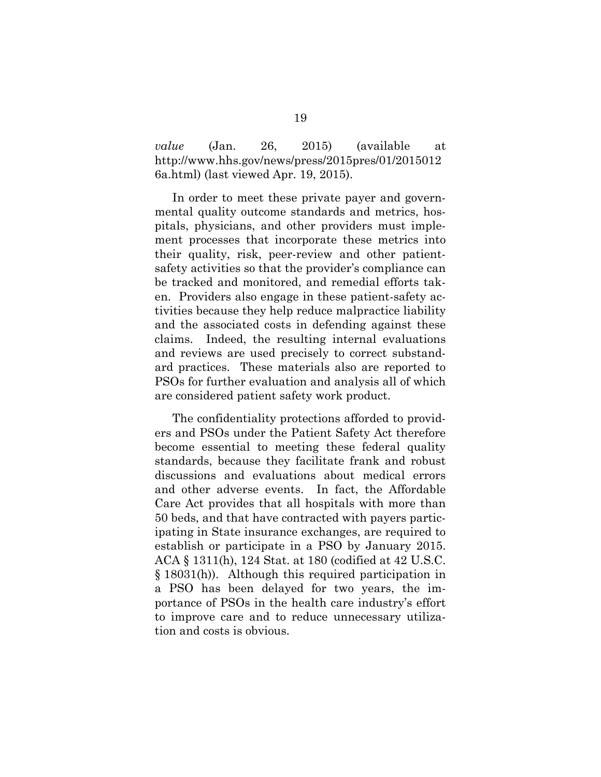*value* (Jan. 26, 2015) (available at http://www.hhs.gov/news/press/2015pres/01/2015012 6a.html) (last viewed Apr. 19, 2015).

In order to meet these private payer and governmental quality outcome standards and metrics, hospitals, physicians, and other providers must implement processes that incorporate these metrics into their quality, risk, peer-review and other patientsafety activities so that the provider's compliance can be tracked and monitored, and remedial efforts taken. Providers also engage in these patient-safety activities because they help reduce malpractice liability and the associated costs in defending against these claims. Indeed, the resulting internal evaluations and reviews are used precisely to correct substandard practices. These materials also are reported to PSOs for further evaluation and analysis all of which are considered patient safety work product.

The confidentiality protections afforded to providers and PSOs under the Patient Safety Act therefore become essential to meeting these federal quality standards, because they facilitate frank and robust discussions and evaluations about medical errors and other adverse events. In fact, the Affordable Care Act provides that all hospitals with more than 50 beds, and that have contracted with payers participating in State insurance exchanges, are required to establish or participate in a PSO by January 2015. ACA § 1311(h), 124 Stat. at 180 (codified at 42 U.S.C. § 18031(h)). Although this required participation in a PSO has been delayed for two years, the importance of PSOs in the health care industry's effort to improve care and to reduce unnecessary utilization and costs is obvious.